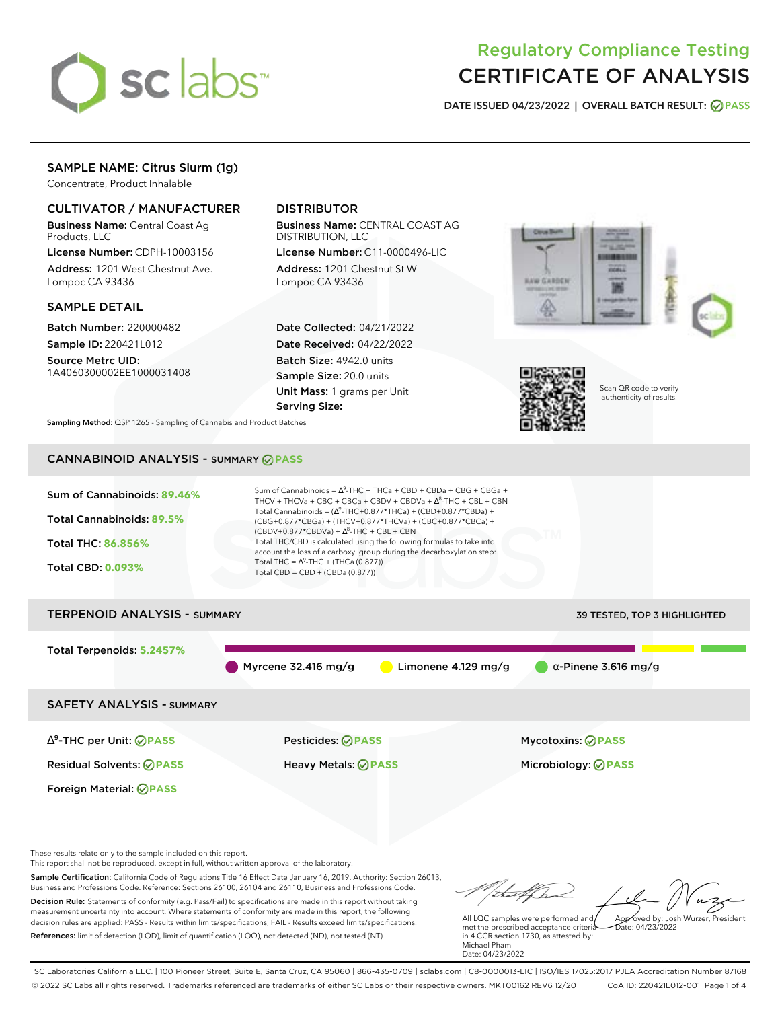

# Regulatory Compliance Testing CERTIFICATE OF ANALYSIS

**DATE ISSUED 04/23/2022 | OVERALL BATCH RESULT: PASS**

# SAMPLE NAME: Citrus Slurm (1g)

Concentrate, Product Inhalable

## CULTIVATOR / MANUFACTURER

Business Name: Central Coast Ag Products, LLC

License Number: CDPH-10003156 Address: 1201 West Chestnut Ave. Lompoc CA 93436

### SAMPLE DETAIL

Batch Number: 220000482 Sample ID: 220421L012

Source Metrc UID: 1A4060300002EE1000031408

# DISTRIBUTOR

Business Name: CENTRAL COAST AG DISTRIBUTION, LLC

License Number: C11-0000496-LIC Address: 1201 Chestnut St W Lompoc CA 93436

Date Collected: 04/21/2022 Date Received: 04/22/2022 Batch Size: 4942.0 units Sample Size: 20.0 units Unit Mass: 1 grams per Unit Serving Size:





Scan QR code to verify authenticity of results.

**Sampling Method:** QSP 1265 - Sampling of Cannabis and Product Batches

# CANNABINOID ANALYSIS - SUMMARY **PASS**



These results relate only to the sample included on this report.

This report shall not be reproduced, except in full, without written approval of the laboratory.

Sample Certification: California Code of Regulations Title 16 Effect Date January 16, 2019. Authority: Section 26013, Business and Professions Code. Reference: Sections 26100, 26104 and 26110, Business and Professions Code. Decision Rule: Statements of conformity (e.g. Pass/Fail) to specifications are made in this report without taking measurement uncertainty into account. Where statements of conformity are made in this report, the following decision rules are applied: PASS - Results within limits/specifications, FAIL - Results exceed limits/specifications.

References: limit of detection (LOD), limit of quantification (LOQ), not detected (ND), not tested (NT)

tu f Ch Approved by: Josh Wurzer, President

 $hat: 04/23/2022$ 

All LQC samples were performed and met the prescribed acceptance criteria in 4 CCR section 1730, as attested by: Michael Pham Date: 04/23/2022

SC Laboratories California LLC. | 100 Pioneer Street, Suite E, Santa Cruz, CA 95060 | 866-435-0709 | sclabs.com | C8-0000013-LIC | ISO/IES 17025:2017 PJLA Accreditation Number 87168 © 2022 SC Labs all rights reserved. Trademarks referenced are trademarks of either SC Labs or their respective owners. MKT00162 REV6 12/20 CoA ID: 220421L012-001 Page 1 of 4